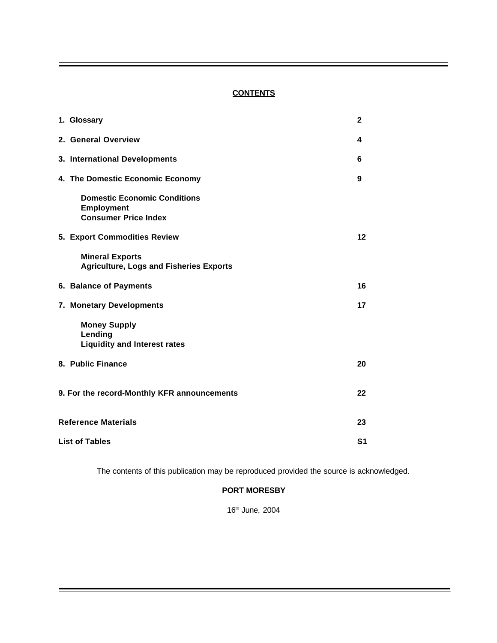# **CONTENTS**

| 1. Glossary                                                                             | $\mathbf{2}$   |
|-----------------------------------------------------------------------------------------|----------------|
| 2. General Overview                                                                     | 4              |
| 3. International Developments                                                           | 6              |
| 4. The Domestic Economic Economy                                                        | 9              |
| <b>Domestic Economic Conditions</b><br><b>Employment</b><br><b>Consumer Price Index</b> |                |
| 5. Export Commodities Review                                                            | 12             |
| <b>Mineral Exports</b><br><b>Agriculture, Logs and Fisheries Exports</b>                |                |
| 6. Balance of Payments                                                                  | 16             |
| 7. Monetary Developments                                                                | 17             |
| <b>Money Supply</b><br>Lending<br><b>Liquidity and Interest rates</b>                   |                |
| 8. Public Finance                                                                       | 20             |
| 9. For the record-Monthly KFR announcements                                             | 22             |
| <b>Reference Materials</b>                                                              | 23             |
| <b>List of Tables</b>                                                                   | S <sub>1</sub> |

The contents of this publication may be reproduced provided the source is acknowledged.

## **PORT MORESBY**

16th June, 2004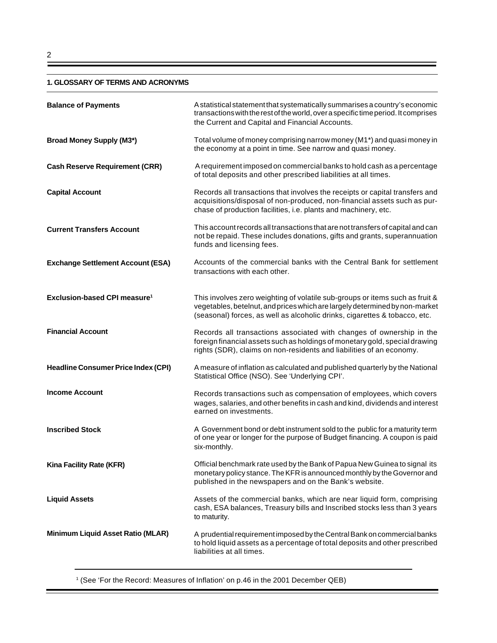#### **1. GLOSSARY OF TERMS AND ACRONYMS**

| <b>Balance of Payments</b>                     | A statistical statement that systematically summarises a country's economic<br>transactions with the rest of the world, over a specific time period. It comprises<br>the Current and Capital and Financial Accounts.                      |
|------------------------------------------------|-------------------------------------------------------------------------------------------------------------------------------------------------------------------------------------------------------------------------------------------|
| <b>Broad Money Supply (M3*)</b>                | Total volume of money comprising narrow money (M1*) and quasi money in<br>the economy at a point in time. See narrow and quasi money.                                                                                                     |
| <b>Cash Reserve Requirement (CRR)</b>          | A requirement imposed on commercial banks to hold cash as a percentage<br>of total deposits and other prescribed liabilities at all times.                                                                                                |
| <b>Capital Account</b>                         | Records all transactions that involves the receipts or capital transfers and<br>acquisitions/disposal of non-produced, non-financial assets such as pur-<br>chase of production facilities, i.e. plants and machinery, etc.               |
| <b>Current Transfers Account</b>               | This account records all transactions that are not transfers of capital and can<br>not be repaid. These includes donations, gifts and grants, superannuation<br>funds and licensing fees.                                                 |
| <b>Exchange Settlement Account (ESA)</b>       | Accounts of the commercial banks with the Central Bank for settlement<br>transactions with each other.                                                                                                                                    |
| <b>Exclusion-based CPI measure<sup>1</sup></b> | This involves zero weighting of volatile sub-groups or items such as fruit &<br>vegetables, betelnut, and prices which are largely determined by non-market<br>(seasonal) forces, as well as alcoholic drinks, cigarettes & tobacco, etc. |
| <b>Financial Account</b>                       | Records all transactions associated with changes of ownership in the<br>foreign financial assets such as holdings of monetary gold, special drawing<br>rights (SDR), claims on non-residents and liabilities of an economy.               |
| <b>Headline Consumer Price Index (CPI)</b>     | A measure of inflation as calculated and published quarterly by the National<br>Statistical Office (NSO). See 'Underlying CPI'.                                                                                                           |
| <b>Income Account</b>                          | Records transactions such as compensation of employees, which covers<br>wages, salaries, and other benefits in cash and kind, dividends and interest<br>earned on investments.                                                            |
| <b>Inscribed Stock</b>                         | A Government bond or debt instrument sold to the public for a maturity term<br>of one year or longer for the purpose of Budget financing. A coupon is paid<br>six-monthly.                                                                |
| Kina Facility Rate (KFR)                       | Official benchmark rate used by the Bank of Papua New Guinea to signal its<br>monetary policy stance. The KFR is announced monthly by the Governor and<br>published in the newspapers and on the Bank's website.                          |
| <b>Liquid Assets</b>                           | Assets of the commercial banks, which are near liquid form, comprising<br>cash, ESA balances, Treasury bills and Inscribed stocks less than 3 years<br>to maturity.                                                                       |
| Minimum Liquid Asset Ratio (MLAR)              | A prudential requirement imposed by the Central Bank on commercial banks<br>to hold liquid assets as a percentage of total deposits and other prescribed<br>liabilities at all times.                                                     |

1 (See 'For the Record: Measures of Inflation' on p.46 in the 2001 December QEB)

Ξ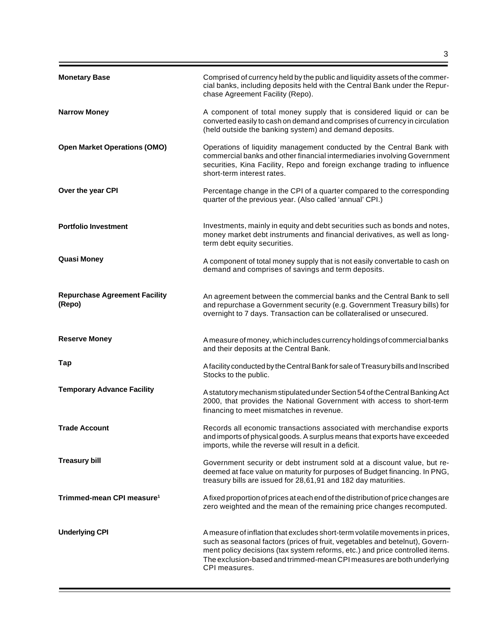| <b>Monetary Base</b>                           | Comprised of currency held by the public and liquidity assets of the commer-<br>cial banks, including deposits held with the Central Bank under the Repur-<br>chase Agreement Facility (Repo).                                                                                                                                          |
|------------------------------------------------|-----------------------------------------------------------------------------------------------------------------------------------------------------------------------------------------------------------------------------------------------------------------------------------------------------------------------------------------|
| <b>Narrow Money</b>                            | A component of total money supply that is considered liquid or can be<br>converted easily to cash on demand and comprises of currency in circulation<br>(held outside the banking system) and demand deposits.                                                                                                                          |
| <b>Open Market Operations (OMO)</b>            | Operations of liquidity management conducted by the Central Bank with<br>commercial banks and other financial intermediaries involving Government<br>securities, Kina Facility, Repo and foreign exchange trading to influence<br>short-term interest rates.                                                                            |
| Over the year CPI                              | Percentage change in the CPI of a quarter compared to the corresponding<br>quarter of the previous year. (Also called 'annual' CPI.)                                                                                                                                                                                                    |
| <b>Portfolio Investment</b>                    | Investments, mainly in equity and debt securities such as bonds and notes,<br>money market debt instruments and financial derivatives, as well as long-<br>term debt equity securities.                                                                                                                                                 |
| <b>Quasi Money</b>                             | A component of total money supply that is not easily convertable to cash on<br>demand and comprises of savings and term deposits.                                                                                                                                                                                                       |
| <b>Repurchase Agreement Facility</b><br>(Repo) | An agreement between the commercial banks and the Central Bank to sell<br>and repurchase a Government security (e.g. Government Treasury bills) for<br>overnight to 7 days. Transaction can be collateralised or unsecured.                                                                                                             |
| <b>Reserve Money</b>                           | A measure of money, which includes currency holdings of commercial banks<br>and their deposits at the Central Bank.                                                                                                                                                                                                                     |
| Tap                                            | A facility conducted by the Central Bank for sale of Treasury bills and Inscribed<br>Stocks to the public.                                                                                                                                                                                                                              |
| <b>Temporary Advance Facility</b>              | A statutory mechanism stipulated under Section 54 of the Central Banking Act<br>2000, that provides the National Government with access to short-term<br>financing to meet mismatches in revenue.                                                                                                                                       |
| <b>Trade Account</b>                           | Records all economic transactions associated with merchandise exports<br>and imports of physical goods. A surplus means that exports have exceeded<br>imports, while the reverse will result in a deficit.                                                                                                                              |
| <b>Treasury bill</b>                           | Government security or debt instrument sold at a discount value, but re-<br>deemed at face value on maturity for purposes of Budget financing. In PNG,<br>treasury bills are issued for 28,61,91 and 182 day maturities.                                                                                                                |
| Trimmed-mean CPI measure <sup>1</sup>          | A fixed proportion of prices at each end of the distribution of price changes are<br>zero weighted and the mean of the remaining price changes recomputed.                                                                                                                                                                              |
| <b>Underlying CPI</b>                          | A measure of inflation that excludes short-term volatile movements in prices,<br>such as seasonal factors (prices of fruit, vegetables and betelnut), Govern-<br>ment policy decisions (tax system reforms, etc.) and price controlled items.<br>The exclusion-based and trimmed-mean CPI measures are both underlying<br>CPI measures. |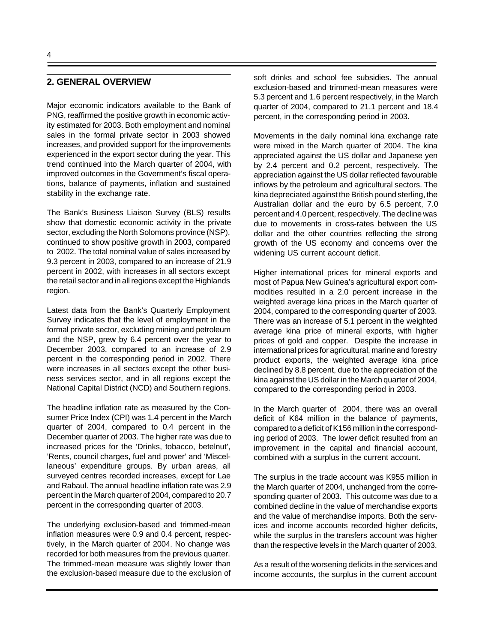## **2. GENERAL OVERVIEW**

Major economic indicators available to the Bank of PNG, reaffirmed the positive growth in economic activity estimated for 2003. Both employment and nominal sales in the formal private sector in 2003 showed increases, and provided support for the improvements experienced in the export sector during the year. This trend continued into the March quarter of 2004, with improved outcomes in the Government's fiscal operations, balance of payments, inflation and sustained stability in the exchange rate.

The Bank's Business Liaison Survey (BLS) results show that domestic economic activity in the private sector, excluding the North Solomons province (NSP), continued to show positive growth in 2003, compared to 2002. The total nominal value of sales increased by 9.3 percent in 2003, compared to an increase of 21.9 percent in 2002, with increases in all sectors except the retail sector and in all regions except the Highlands region.

Latest data from the Bank's Quarterly Employment Survey indicates that the level of employment in the formal private sector, excluding mining and petroleum and the NSP, grew by 6.4 percent over the year to December 2003, compared to an increase of 2.9 percent in the corresponding period in 2002. There were increases in all sectors except the other business services sector, and in all regions except the National Capital District (NCD) and Southern regions.

The headline inflation rate as measured by the Consumer Price Index (CPI) was 1.4 percent in the March quarter of 2004, compared to 0.4 percent in the December quarter of 2003. The higher rate was due to increased prices for the 'Drinks, tobacco, betelnut', 'Rents, council charges, fuel and power' and 'Miscellaneous' expenditure groups. By urban areas, all surveyed centres recorded increases, except for Lae and Rabaul. The annual headline inflation rate was 2.9 percent in the March quarter of 2004, compared to 20.7 percent in the corresponding quarter of 2003.

The underlying exclusion-based and trimmed-mean inflation measures were 0.9 and 0.4 percent, respectively, in the March quarter of 2004. No change was recorded for both measures from the previous quarter. The trimmed-mean measure was slightly lower than the exclusion-based measure due to the exclusion of soft drinks and school fee subsidies. The annual exclusion-based and trimmed-mean measures were 5.3 percent and 1.6 percent respectively, in the March quarter of 2004, compared to 21.1 percent and 18.4 percent, in the corresponding period in 2003.

Movements in the daily nominal kina exchange rate were mixed in the March quarter of 2004. The kina appreciated against the US dollar and Japanese yen by 2.4 percent and 0.2 percent, respectively. The appreciation against the US dollar reflected favourable inflows by the petroleum and agricultural sectors. The kina depreciated against the British pound sterling, the Australian dollar and the euro by 6.5 percent, 7.0 percent and 4.0 percent, respectively. The decline was due to movements in cross-rates between the US dollar and the other countries reflecting the strong growth of the US economy and concerns over the widening US current account deficit.

Higher international prices for mineral exports and most of Papua New Guinea's agricultural export commodities resulted in a 2.0 percent increase in the weighted average kina prices in the March quarter of 2004, compared to the corresponding quarter of 2003. There was an increase of 5.1 percent in the weighted average kina price of mineral exports, with higher prices of gold and copper. Despite the increase in international prices for agricultural, marine and forestry product exports, the weighted average kina price declined by 8.8 percent, due to the appreciation of the kina against the US dollar in the March quarter of 2004, compared to the corresponding period in 2003.

In the March quarter of 2004, there was an overall deficit of K64 million in the balance of payments, compared to a deficit of K156 million in the corresponding period of 2003. The lower deficit resulted from an improvement in the capital and financial account, combined with a surplus in the current account.

The surplus in the trade account was K955 million in the March quarter of 2004, unchanged from the corresponding quarter of 2003. This outcome was due to a combined decline in the value of merchandise exports and the value of merchandise imports. Both the services and income accounts recorded higher deficits, while the surplus in the transfers account was higher than the respective levels in the March quarter of 2003.

As a result of the worsening deficits in the services and income accounts, the surplus in the current account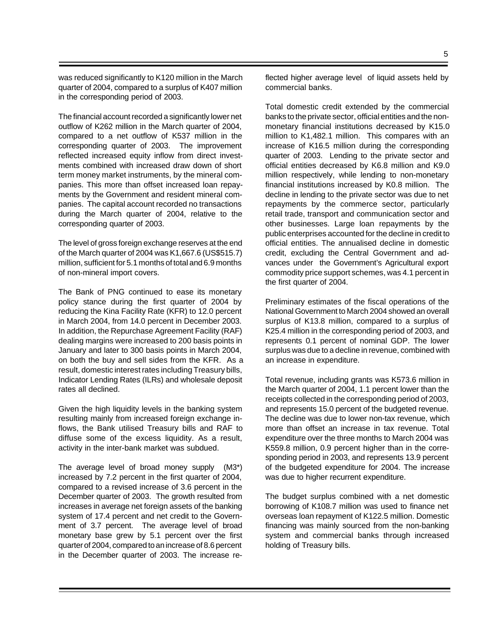was reduced significantly to K120 million in the March quarter of 2004, compared to a surplus of K407 million in the corresponding period of 2003.

The financial account recorded a significantly lower net outflow of K262 million in the March quarter of 2004, compared to a net outflow of K537 million in the corresponding quarter of 2003. The improvement reflected increased equity inflow from direct investments combined with increased draw down of short term money market instruments, by the mineral companies. This more than offset increased loan repayments by the Government and resident mineral companies. The capital account recorded no transactions during the March quarter of 2004, relative to the corresponding quarter of 2003.

The level of gross foreign exchange reserves at the end of the March quarter of 2004 was K1,667.6 (US\$515.7) million, sufficient for 5.1 months of total and 6.9 months of non-mineral import covers.

The Bank of PNG continued to ease its monetary policy stance during the first quarter of 2004 by reducing the Kina Facility Rate (KFR) to 12.0 percent in March 2004, from 14.0 percent in December 2003. In addition, the Repurchase Agreement Facility (RAF) dealing margins were increased to 200 basis points in January and later to 300 basis points in March 2004, on both the buy and sell sides from the KFR. As a result, domestic interest rates including Treasury bills, Indicator Lending Rates (ILRs) and wholesale deposit rates all declined.

Given the high liquidity levels in the banking system resulting mainly from increased foreign exchange inflows, the Bank utilised Treasury bills and RAF to diffuse some of the excess liquidity. As a result, activity in the inter-bank market was subdued.

The average level of broad money supply (M3\*) increased by 7.2 percent in the first quarter of 2004, compared to a revised increase of 3.6 percent in the December quarter of 2003. The growth resulted from increases in average net foreign assets of the banking system of 17.4 percent and net credit to the Government of 3.7 percent. The average level of broad monetary base grew by 5.1 percent over the first quarter of 2004, compared to an increase of 8.6 percent in the December quarter of 2003. The increase reflected higher average level of liquid assets held by commercial banks.

Total domestic credit extended by the commercial banks to the private sector, official entities and the nonmonetary financial institutions decreased by K15.0 million to K1,482.1 million. This compares with an increase of K16.5 million during the corresponding quarter of 2003. Lending to the private sector and official entities decreased by K6.8 million and K9.0 million respectively, while lending to non-monetary financial institutions increased by K0.8 million. The decline in lending to the private sector was due to net repayments by the commerce sector, particularly retail trade, transport and communication sector and other businesses. Large loan repayments by the public enterprises accounted for the decline in credit to official entities. The annualised decline in domestic credit, excluding the Central Government and advances under the Government's Agricultural export commodity price support schemes, was 4.1 percent in the first quarter of 2004.

Preliminary estimates of the fiscal operations of the National Government to March 2004 showed an overall surplus of K13.8 million, compared to a surplus of K25.4 million in the corresponding period of 2003, and represents 0.1 percent of nominal GDP. The lower surplus was due to a decline in revenue, combined with an increase in expenditure.

Total revenue, including grants was K573.6 million in the March quarter of 2004, 1.1 percent lower than the receipts collected in the corresponding period of 2003, and represents 15.0 percent of the budgeted revenue. The decline was due to lower non-tax revenue, which more than offset an increase in tax revenue. Total expenditure over the three months to March 2004 was K559.8 million, 0.9 percent higher than in the corresponding period in 2003, and represents 13.9 percent of the budgeted expenditure for 2004. The increase was due to higher recurrent expenditure.

The budget surplus combined with a net domestic borrowing of K108.7 million was used to finance net overseas loan repayment of K122.5 million. Domestic financing was mainly sourced from the non-banking system and commercial banks through increased holding of Treasury bills.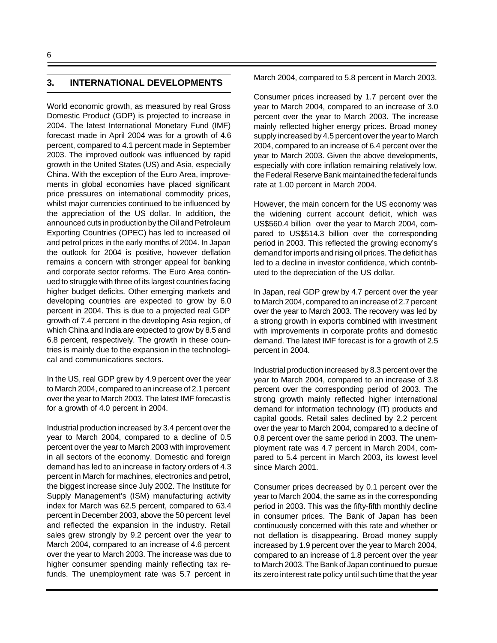#### **3. INTERNATIONAL DEVELOPMENTS**

World economic growth, as measured by real Gross Domestic Product (GDP) is projected to increase in 2004. The latest International Monetary Fund (IMF) forecast made in April 2004 was for a growth of 4.6 percent, compared to 4.1 percent made in September 2003. The improved outlook was influenced by rapid growth in the United States (US) and Asia, especially China. With the exception of the Euro Area, improvements in global economies have placed significant price pressures on international commodity prices, whilst major currencies continued to be influenced by the appreciation of the US dollar. In addition, the announced cuts in production by the Oil and Petroleum Exporting Countries (OPEC) has led to increased oil and petrol prices in the early months of 2004. In Japan the outlook for 2004 is positive, however deflation remains a concern with stronger appeal for banking and corporate sector reforms. The Euro Area continued to struggle with three of its largest countries facing higher budget deficits. Other emerging markets and developing countries are expected to grow by 6.0 percent in 2004. This is due to a projected real GDP growth of 7.4 percent in the developing Asia region, of which China and India are expected to grow by 8.5 and 6.8 percent, respectively. The growth in these countries is mainly due to the expansion in the technological and communications sectors.

In the US, real GDP grew by 4.9 percent over the year to March 2004, compared to an increase of 2.1 percent over the year to March 2003. The latest IMF forecast is for a growth of 4.0 percent in 2004.

Industrial production increased by 3.4 percent over the year to March 2004, compared to a decline of 0.5 percent over the year to March 2003 with improvement in all sectors of the economy. Domestic and foreign demand has led to an increase in factory orders of 4.3 percent in March for machines, electronics and petrol, the biggest increase since July 2002. The Institute for Supply Management's (ISM) manufacturing activity index for March was 62.5 percent, compared to 63.4 percent in December 2003, above the 50 percent level and reflected the expansion in the industry. Retail sales grew strongly by 9.2 percent over the year to March 2004, compared to an increase of 4.6 percent over the year to March 2003. The increase was due to higher consumer spending mainly reflecting tax refunds. The unemployment rate was 5.7 percent in

March 2004, compared to 5.8 percent in March 2003.

Consumer prices increased by 1.7 percent over the year to March 2004, compared to an increase of 3.0 percent over the year to March 2003. The increase mainly reflected higher energy prices. Broad money supply increased by 4.5 percent over the year to March 2004, compared to an increase of 6.4 percent over the year to March 2003. Given the above developments, especially with core inflation remaining relatively low, the Federal Reserve Bank maintained the federal funds rate at 1.00 percent in March 2004.

However, the main concern for the US economy was the widening current account deficit, which was US\$560.4 billion over the year to March 2004, compared to US\$514.3 billion over the corresponding period in 2003. This reflected the growing economy's demand for imports and rising oil prices. The deficit has led to a decline in investor confidence, which contributed to the depreciation of the US dollar.

In Japan, real GDP grew by 4.7 percent over the year to March 2004, compared to an increase of 2.7 percent over the year to March 2003. The recovery was led by a strong growth in exports combined with investment with improvements in corporate profits and domestic demand. The latest IMF forecast is for a growth of 2.5 percent in 2004.

Industrial production increased by 8.3 percent over the year to March 2004, compared to an increase of 3.8 percent over the corresponding period of 2003. The strong growth mainly reflected higher international demand for information technology (IT) products and capital goods. Retail sales declined by 2.2 percent over the year to March 2004, compared to a decline of 0.8 percent over the same period in 2003. The unemployment rate was 4.7 percent in March 2004, compared to 5.4 percent in March 2003, its lowest level since March 2001.

Consumer prices decreased by 0.1 percent over the year to March 2004, the same as in the corresponding period in 2003. This was the fifty-fifth monthly decline in consumer prices. The Bank of Japan has been continuously concerned with this rate and whether or not deflation is disappearing. Broad money supply increased by 1.9 percent over the year to March 2004, compared to an increase of 1.8 percent over the year to March 2003. The Bank of Japan continued to pursue its zero interest rate policy until such time that the year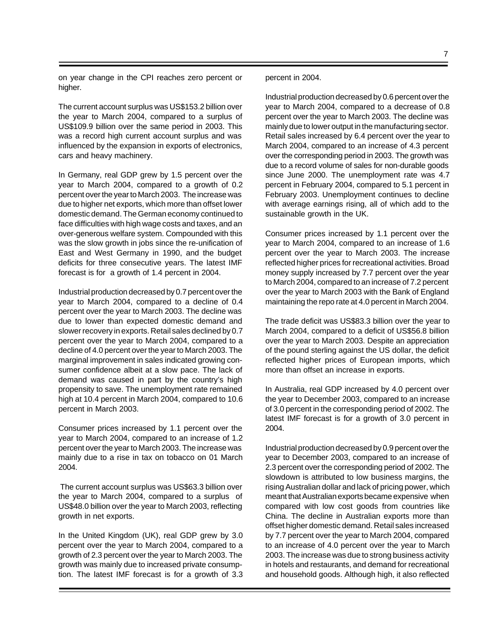on year change in the CPI reaches zero percent or higher.

The current account surplus was US\$153.2 billion over the year to March 2004, compared to a surplus of US\$109.9 billion over the same period in 2003. This was a record high current account surplus and was influenced by the expansion in exports of electronics, cars and heavy machinery.

In Germany, real GDP grew by 1.5 percent over the year to March 2004, compared to a growth of 0.2 percent over the year to March 2003. The increase was due to higher net exports, which more than offset lower domestic demand. The German economy continued to face difficulties with high wage costs and taxes, and an over-generous welfare system. Compounded with this was the slow growth in jobs since the re-unification of East and West Germany in 1990, and the budget deficits for three consecutive years. The latest IMF forecast is for a growth of 1.4 percent in 2004.

Industrial production decreased by 0.7 percent over the year to March 2004, compared to a decline of 0.4 percent over the year to March 2003. The decline was due to lower than expected domestic demand and slower recovery in exports. Retail sales declined by 0.7 percent over the year to March 2004, compared to a decline of 4.0 percent over the year to March 2003. The marginal improvement in sales indicated growing consumer confidence albeit at a slow pace. The lack of demand was caused in part by the country's high propensity to save. The unemployment rate remained high at 10.4 percent in March 2004, compared to 10.6 percent in March 2003.

Consumer prices increased by 1.1 percent over the year to March 2004, compared to an increase of 1.2 percent over the year to March 2003. The increase was mainly due to a rise in tax on tobacco on 01 March 2004.

 The current account surplus was US\$63.3 billion over the year to March 2004, compared to a surplus of US\$48.0 billion over the year to March 2003, reflecting growth in net exports.

In the United Kingdom (UK), real GDP grew by 3.0 percent over the year to March 2004, compared to a growth of 2.3 percent over the year to March 2003. The growth was mainly due to increased private consumption. The latest IMF forecast is for a growth of 3.3

#### percent in 2004.

Industrial production decreased by 0.6 percent over the year to March 2004, compared to a decrease of 0.8 percent over the year to March 2003. The decline was mainly due to lower output in the manufacturing sector. Retail sales increased by 6.4 percent over the year to March 2004, compared to an increase of 4.3 percent over the corresponding period in 2003. The growth was due to a record volume of sales for non-durable goods since June 2000. The unemployment rate was 4.7 percent in February 2004, compared to 5.1 percent in February 2003. Unemployment continues to decline with average earnings rising, all of which add to the sustainable growth in the UK.

Consumer prices increased by 1.1 percent over the year to March 2004, compared to an increase of 1.6 percent over the year to March 2003. The increase reflected higher prices for recreational activities. Broad money supply increased by 7.7 percent over the year to March 2004, compared to an increase of 7.2 percent over the year to March 2003 with the Bank of England maintaining the repo rate at 4.0 percent in March 2004.

The trade deficit was US\$83.3 billion over the year to March 2004, compared to a deficit of US\$56.8 billion over the year to March 2003. Despite an appreciation of the pound sterling against the US dollar, the deficit reflected higher prices of European imports, which more than offset an increase in exports.

In Australia, real GDP increased by 4.0 percent over the year to December 2003, compared to an increase of 3.0 percent in the corresponding period of 2002. The latest IMF forecast is for a growth of 3.0 percent in 2004.

Industrial production decreased by 0.9 percent over the year to December 2003, compared to an increase of 2.3 percent over the corresponding period of 2002. The slowdown is attributed to low business margins, the rising Australian dollar and lack of pricing power, which meant that Australian exports became expensive when compared with low cost goods from countries like China. The decline in Australian exports more than offset higher domestic demand. Retail sales increased by 7.7 percent over the year to March 2004, compared to an increase of 4.0 percent over the year to March 2003. The increase was due to strong business activity in hotels and restaurants, and demand for recreational and household goods. Although high, it also reflected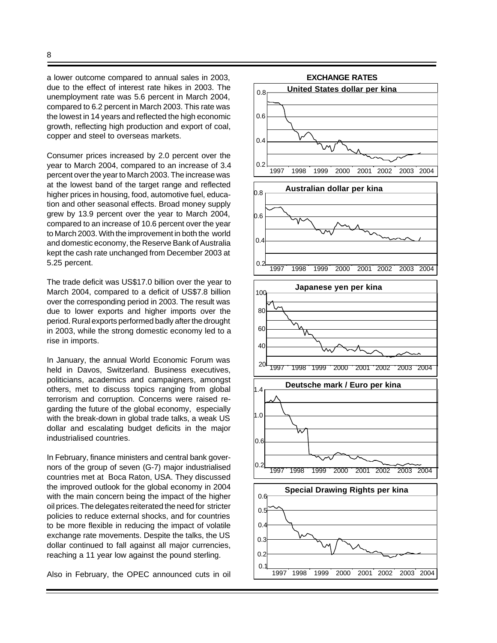a lower outcome compared to annual sales in 2003, due to the effect of interest rate hikes in 2003. The unemployment rate was 5.6 percent in March 2004, compared to 6.2 percent in March 2003. This rate was the lowest in 14 years and reflected the high economic growth, reflecting high production and export of coal, copper and steel to overseas markets.

Consumer prices increased by 2.0 percent over the year to March 2004, compared to an increase of 3.4 percent over the year to March 2003. The increase was at the lowest band of the target range and reflected higher prices in housing, food, automotive fuel, education and other seasonal effects. Broad money supply grew by 13.9 percent over the year to March 2004, compared to an increase of 10.6 percent over the year to March 2003. With the improvement in both the world and domestic economy, the Reserve Bank of Australia kept the cash rate unchanged from December 2003 at 5.25 percent.

The trade deficit was US\$17.0 billion over the year to March 2004, compared to a deficit of US\$7.8 billion over the corresponding period in 2003. The result was due to lower exports and higher imports over the period. Rural exports performed badly after the drought in 2003, while the strong domestic economy led to a rise in imports.

In January, the annual World Economic Forum was held in Davos, Switzerland. Business executives, politicians, academics and campaigners, amongst others, met to discuss topics ranging from global terrorism and corruption. Concerns were raised regarding the future of the global economy, especially with the break-down in global trade talks, a weak US dollar and escalating budget deficits in the major industrialised countries.

In February, finance ministers and central bank governors of the group of seven (G-7) major industrialised countries met at Boca Raton, USA. They discussed the improved outlook for the global economy in 2004 with the main concern being the impact of the higher oil prices. The delegates reiterated the need for stricter policies to reduce external shocks, and for countries to be more flexible in reducing the impact of volatile exchange rate movements. Despite the talks, the US dollar continued to fall against all major currencies, reaching a 11 year low against the pound sterling.

Also in February, the OPEC announced cuts in oil

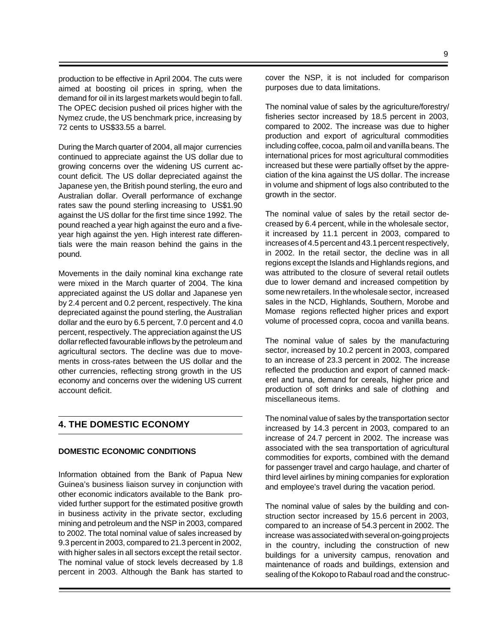production to be effective in April 2004. The cuts were aimed at boosting oil prices in spring, when the demand for oil in its largest markets would begin to fall. The OPEC decision pushed oil prices higher with the Nymez crude, the US benchmark price, increasing by 72 cents to US\$33.55 a barrel.

During the March quarter of 2004, all major currencies continued to appreciate against the US dollar due to growing concerns over the widening US current account deficit. The US dollar depreciated against the Japanese yen, the British pound sterling, the euro and Australian dollar. Overall performance of exchange rates saw the pound sterling increasing to US\$1.90 against the US dollar for the first time since 1992. The pound reached a year high against the euro and a fiveyear high against the yen. High interest rate differentials were the main reason behind the gains in the pound.

Movements in the daily nominal kina exchange rate were mixed in the March quarter of 2004. The kina appreciated against the US dollar and Japanese yen by 2.4 percent and 0.2 percent, respectively. The kina depreciated against the pound sterling, the Australian dollar and the euro by 6.5 percent, 7.0 percent and 4.0 percent, respectively. The appreciation against the US dollar reflected favourable inflows by the petroleum and agricultural sectors. The decline was due to movements in cross-rates between the US dollar and the other currencies, reflecting strong growth in the US economy and concerns over the widening US current account deficit.

# **4. THE DOMESTIC ECONOMY**

#### **DOMESTIC ECONOMIC CONDITIONS**

Information obtained from the Bank of Papua New Guinea's business liaison survey in conjunction with other economic indicators available to the Bank provided further support for the estimated positive growth in business activity in the private sector, excluding mining and petroleum and the NSP in 2003, compared to 2002. The total nominal value of sales increased by 9.3 percent in 2003, compared to 21.3 percent in 2002, with higher sales in all sectors except the retail sector. The nominal value of stock levels decreased by 1.8 percent in 2003. Although the Bank has started to cover the NSP, it is not included for comparison purposes due to data limitations.

The nominal value of sales by the agriculture/forestry/ fisheries sector increased by 18.5 percent in 2003, compared to 2002. The increase was due to higher production and export of agricultural commodities including coffee, cocoa, palm oil and vanilla beans. The international prices for most agricultural commodities increased but these were partially offset by the appreciation of the kina against the US dollar. The increase in volume and shipment of logs also contributed to the growth in the sector.

The nominal value of sales by the retail sector decreased by 6.4 percent, while in the wholesale sector, it increased by 11.1 percent in 2003, compared to increases of 4.5 percent and 43.1 percent respectively, in 2002. In the retail sector, the decline was in all regions except the Islands and Highlands regions, and was attributed to the closure of several retail outlets due to lower demand and increased competition by some new retailers. In the wholesale sector, increased sales in the NCD, Highlands, Southern, Morobe and Momase regions reflected higher prices and export volume of processed copra, cocoa and vanilla beans.

The nominal value of sales by the manufacturing sector, increased by 10.2 percent in 2003, compared to an increase of 23.3 percent in 2002. The increase reflected the production and export of canned mackerel and tuna, demand for cereals, higher price and production of soft drinks and sale of clothing and miscellaneous items.

The nominal value of sales by the transportation sector increased by 14.3 percent in 2003, compared to an increase of 24.7 percent in 2002. The increase was associated with the sea transportation of agricultural commodities for exports, combined with the demand for passenger travel and cargo haulage, and charter of third level airlines by mining companies for exploration and employee's travel during the vacation period.

The nominal value of sales by the building and construction sector increased by 15.6 percent in 2003, compared to an increase of 54.3 percent in 2002. The increase was associated with several on-going projects in the country, including the construction of new buildings for a university campus, renovation and maintenance of roads and buildings, extension and sealing of the Kokopo to Rabaul road and the construc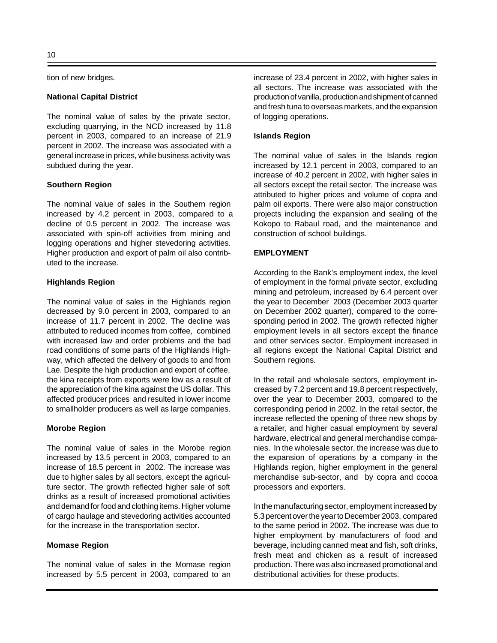tion of new bridges.

#### **National Capital District**

The nominal value of sales by the private sector, excluding quarrying, in the NCD increased by 11.8 percent in 2003, compared to an increase of 21.9 percent in 2002. The increase was associated with a general increase in prices, while business activity was subdued during the year.

## **Southern Region**

The nominal value of sales in the Southern region increased by 4.2 percent in 2003, compared to a decline of 0.5 percent in 2002. The increase was associated with spin-off activities from mining and logging operations and higher stevedoring activities. Higher production and export of palm oil also contributed to the increase.

## **Highlands Region**

The nominal value of sales in the Highlands region decreased by 9.0 percent in 2003, compared to an increase of 11.7 percent in 2002. The decline was attributed to reduced incomes from coffee, combined with increased law and order problems and the bad road conditions of some parts of the Highlands Highway, which affected the delivery of goods to and from Lae. Despite the high production and export of coffee, the kina receipts from exports were low as a result of the appreciation of the kina against the US dollar. This affected producer prices and resulted in lower income to smallholder producers as well as large companies.

## **Morobe Region**

The nominal value of sales in the Morobe region increased by 13.5 percent in 2003, compared to an increase of 18.5 percent in 2002. The increase was due to higher sales by all sectors, except the agriculture sector. The growth reflected higher sale of soft drinks as a result of increased promotional activities and demand for food and clothing items. Higher volume of cargo haulage and stevedoring activities accounted for the increase in the transportation sector.

## **Momase Region**

The nominal value of sales in the Momase region increased by 5.5 percent in 2003, compared to an increase of 23.4 percent in 2002, with higher sales in all sectors. The increase was associated with the production of vanilla, production and shipment of canned and fresh tuna to overseas markets, and the expansion of logging operations.

## **Islands Region**

The nominal value of sales in the Islands region increased by 12.1 percent in 2003, compared to an increase of 40.2 percent in 2002, with higher sales in all sectors except the retail sector. The increase was attributed to higher prices and volume of copra and palm oil exports. There were also major construction projects including the expansion and sealing of the Kokopo to Rabaul road, and the maintenance and construction of school buildings.

## **EMPLOYMENT**

According to the Bank's employment index, the level of employment in the formal private sector, excluding mining and petroleum, increased by 6.4 percent over the year to December 2003 (December 2003 quarter on December 2002 quarter), compared to the corresponding period in 2002. The growth reflected higher employment levels in all sectors except the finance and other services sector. Employment increased in all regions except the National Capital District and Southern regions.

In the retail and wholesale sectors, employment increased by 7.2 percent and 19.8 percent respectively, over the year to December 2003, compared to the corresponding period in 2002. In the retail sector, the increase reflected the opening of three new shops by a retailer, and higher casual employment by several hardware, electrical and general merchandise companies. In the wholesale sector, the increase was due to the expansion of operations by a company in the Highlands region, higher employment in the general merchandise sub-sector, and by copra and cocoa processors and exporters.

In the manufacturing sector, employment increased by 5.3 percent over the year to December 2003, compared to the same period in 2002. The increase was due to higher employment by manufacturers of food and beverage, including canned meat and fish, soft drinks, fresh meat and chicken as a result of increased production. There was also increased promotional and distributional activities for these products.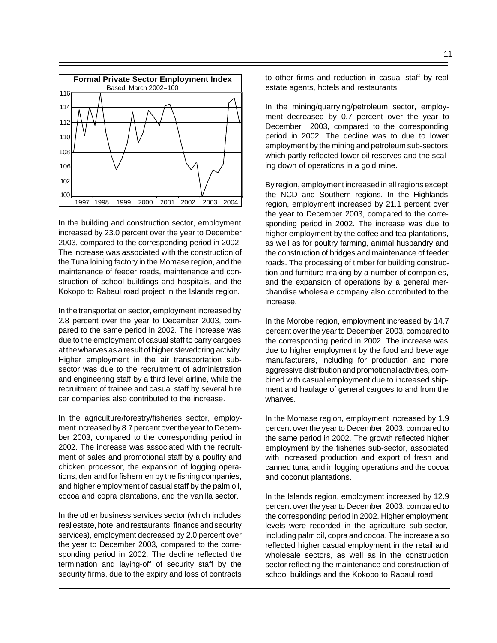

In the building and construction sector, employment increased by 23.0 percent over the year to December 2003, compared to the corresponding period in 2002. The increase was associated with the construction of the Tuna loining factory in the Momase region, and the maintenance of feeder roads, maintenance and construction of school buildings and hospitals, and the Kokopo to Rabaul road project in the Islands region.

In the transportation sector, employment increased by 2.8 percent over the year to December 2003, compared to the same period in 2002. The increase was due to the employment of casual staff to carry cargoes at the wharves as a result of higher stevedoring activity. Higher employment in the air transportation subsector was due to the recruitment of administration and engineering staff by a third level airline, while the recruitment of trainee and casual staff by several hire car companies also contributed to the increase.

In the agriculture/forestry/fisheries sector, employment increased by 8.7 percent over the year to December 2003, compared to the corresponding period in 2002. The increase was associated with the recruitment of sales and promotional staff by a poultry and chicken processor, the expansion of logging operations, demand for fishermen by the fishing companies, and higher employment of casual staff by the palm oil, cocoa and copra plantations, and the vanilla sector.

In the other business services sector (which includes real estate, hotel and restaurants, finance and security services), employment decreased by 2.0 percent over the year to December 2003, compared to the corresponding period in 2002. The decline reflected the termination and laying-off of security staff by the security firms, due to the expiry and loss of contracts

to other firms and reduction in casual staff by real estate agents, hotels and restaurants.

In the mining/quarrying/petroleum sector, employment decreased by 0.7 percent over the year to December 2003, compared to the corresponding period in 2002. The decline was to due to lower employment by the mining and petroleum sub-sectors which partly reflected lower oil reserves and the scaling down of operations in a gold mine.

By region, employment increased in all regions except the NCD and Southern regions. In the Highlands region, employment increased by 21.1 percent over the year to December 2003, compared to the corresponding period in 2002. The increase was due to higher employment by the coffee and tea plantations, as well as for poultry farming, animal husbandry and the construction of bridges and maintenance of feeder roads. The processing of timber for building construction and furniture-making by a number of companies, and the expansion of operations by a general merchandise wholesale company also contributed to the increase.

In the Morobe region, employment increased by 14.7 percent over the year to December 2003, compared to the corresponding period in 2002. The increase was due to higher employment by the food and beverage manufacturers, including for production and more aggressive distribution and promotional activities, combined with casual employment due to increased shipment and haulage of general cargoes to and from the wharves.

In the Momase region, employment increased by 1.9 percent over the year to December 2003, compared to the same period in 2002. The growth reflected higher employment by the fisheries sub-sector, associated with increased production and export of fresh and canned tuna, and in logging operations and the cocoa and coconut plantations.

In the Islands region, employment increased by 12.9 percent over the year to December 2003, compared to the corresponding period in 2002. Higher employment levels were recorded in the agriculture sub-sector, including palm oil, copra and cocoa. The increase also reflected higher casual employment in the retail and wholesale sectors, as well as in the construction sector reflecting the maintenance and construction of school buildings and the Kokopo to Rabaul road.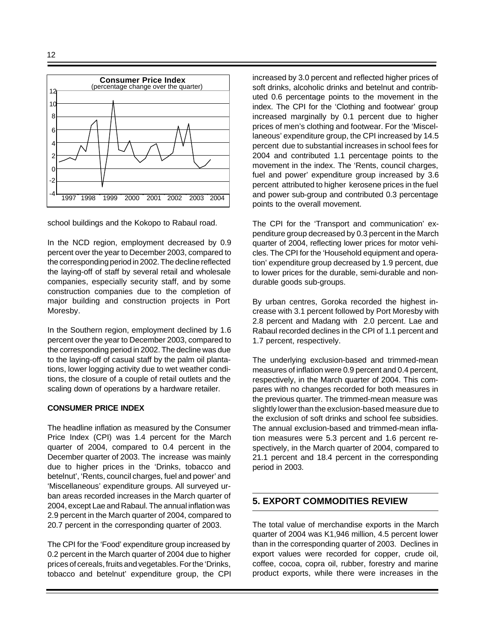

school buildings and the Kokopo to Rabaul road.

In the NCD region, employment decreased by 0.9 percent over the year to December 2003, compared to the corresponding period in 2002. The decline reflected the laying-off of staff by several retail and wholesale companies, especially security staff, and by some construction companies due to the completion of major building and construction projects in Port Moresby.

In the Southern region, employment declined by 1.6 percent over the year to December 2003, compared to the corresponding period in 2002. The decline was due to the laying-off of casual staff by the palm oil plantations, lower logging activity due to wet weather conditions, the closure of a couple of retail outlets and the scaling down of operations by a hardware retailer.

#### **CONSUMER PRICE INDEX**

The headline inflation as measured by the Consumer Price Index (CPI) was 1.4 percent for the March quarter of 2004, compared to 0.4 percent in the December quarter of 2003. The increase was mainly due to higher prices in the 'Drinks, tobacco and betelnut', 'Rents, council charges, fuel and power' and 'Miscellaneous' expenditure groups. All surveyed urban areas recorded increases in the March quarter of 2004, except Lae and Rabaul. The annual inflation was 2.9 percent in the March quarter of 2004, compared to 20.7 percent in the corresponding quarter of 2003.

The CPI for the 'Food' expenditure group increased by 0.2 percent in the March quarter of 2004 due to higher prices of cereals, fruits and vegetables. For the 'Drinks, tobacco and betelnut' expenditure group, the CPI increased by 3.0 percent and reflected higher prices of soft drinks, alcoholic drinks and betelnut and contributed 0.6 percentage points to the movement in the index. The CPI for the 'Clothing and footwear' group increased marginally by 0.1 percent due to higher prices of men's clothing and footwear. For the 'Miscellaneous' expenditure group, the CPI increased by 14.5 percent due to substantial increases in school fees for 2004 and contributed 1.1 percentage points to the movement in the index. The 'Rents, council charges, fuel and power' expenditure group increased by 3.6 percent attributed to higher kerosene prices in the fuel and power sub-group and contributed 0.3 percentage points to the overall movement.

The CPI for the 'Transport and communication' expenditure group decreased by 0.3 percent in the March quarter of 2004, reflecting lower prices for motor vehicles. The CPI for the 'Household equipment and operation' expenditure group decreased by 1.9 percent, due to lower prices for the durable, semi-durable and nondurable goods sub-groups.

By urban centres, Goroka recorded the highest increase with 3.1 percent followed by Port Moresby with 2.8 percent and Madang with 2.0 percent. Lae and Rabaul recorded declines in the CPI of 1.1 percent and 1.7 percent, respectively.

The underlying exclusion-based and trimmed-mean measures of inflation were 0.9 percent and 0.4 percent, respectively, in the March quarter of 2004. This compares with no changes recorded for both measures in the previous quarter. The trimmed-mean measure was slightly lower than the exclusion-based measure due to the exclusion of soft drinks and school fee subsidies. The annual exclusion-based and trimmed-mean inflation measures were 5.3 percent and 1.6 percent respectively, in the March quarter of 2004, compared to 21.1 percent and 18.4 percent in the corresponding period in 2003.

## **5. EXPORT COMMODITIES REVIEW**

The total value of merchandise exports in the March quarter of 2004 was K1,946 million, 4.5 percent lower than in the corresponding quarter of 2003. Declines in export values were recorded for copper, crude oil, coffee, cocoa, copra oil, rubber, forestry and marine product exports, while there were increases in the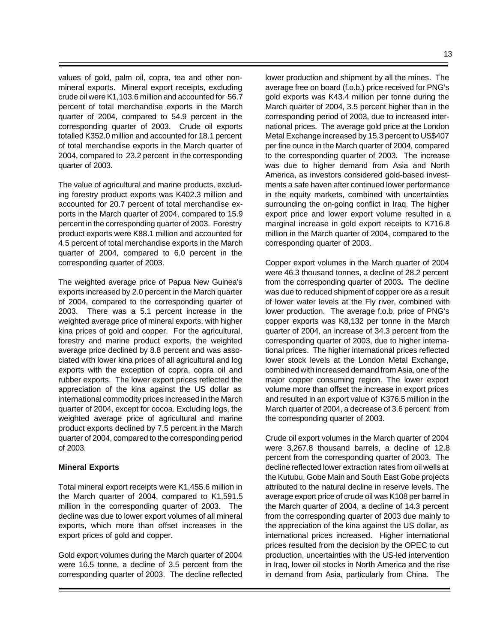values of gold, palm oil, copra, tea and other nonmineral exports. Mineral export receipts, excluding crude oil were K1,103.6 million and accounted for 56.7 percent of total merchandise exports in the March quarter of 2004, compared to 54.9 percent in the corresponding quarter of 2003. Crude oil exports totalled K352.0 million and accounted for 18.1 percent of total merchandise exports in the March quarter of 2004, compared to 23.2 percent in the corresponding quarter of 2003.

The value of agricultural and marine products, excluding forestry product exports was K402.3 million and accounted for 20.7 percent of total merchandise exports in the March quarter of 2004, compared to 15.9 percent in the corresponding quarter of 2003. Forestry product exports were K88.1 million and accounted for 4.5 percent of total merchandise exports in the March quarter of 2004, compared to 6.0 percent in the corresponding quarter of 2003.

The weighted average price of Papua New Guinea's exports increased by 2.0 percent in the March quarter of 2004, compared to the corresponding quarter of 2003. There was a 5.1 percent increase in the weighted average price of mineral exports, with higher kina prices of gold and copper. For the agricultural, forestry and marine product exports, the weighted average price declined by 8.8 percent and was associated with lower kina prices of all agricultural and log exports with the exception of copra, copra oil and rubber exports. The lower export prices reflected the appreciation of the kina against the US dollar as international commodity prices increased in the March quarter of 2004, except for cocoa. Excluding logs, the weighted average price of agricultural and marine product exports declined by 7.5 percent in the March quarter of 2004, compared to the corresponding period of 2003.

#### **Mineral Exports**

Total mineral export receipts were K1,455.6 million in the March quarter of 2004, compared to K1,591.5 million in the corresponding quarter of 2003. The decline was due to lower export volumes of all mineral exports, which more than offset increases in the export prices of gold and copper.

Gold export volumes during the March quarter of 2004 were 16.5 tonne, a decline of 3.5 percent from the corresponding quarter of 2003. The decline reflected lower production and shipment by all the mines. The average free on board (f.o.b.) price received for PNG's gold exports was K43.4 million per tonne during the March quarter of 2004, 3.5 percent higher than in the corresponding period of 2003, due to increased international prices. The average gold price at the London Metal Exchange increased by 15.3 percent to US\$407 per fine ounce in the March quarter of 2004, compared to the corresponding quarter of 2003. The increase was due to higher demand from Asia and North America, as investors considered gold-based investments a safe haven after continued lower performance in the equity markets, combined with uncertainties surrounding the on-going conflict in Iraq. The higher export price and lower export volume resulted in a marginal increase in gold export receipts to K716.8 million in the March quarter of 2004, compared to the corresponding quarter of 2003.

Copper export volumes in the March quarter of 2004 were 46.3 thousand tonnes, a decline of 28.2 percent from the corresponding quarter of 2003**.** The decline was due to reduced shipment of copper ore as a result of lower water levels at the Fly river, combined with lower production. The average f.o.b. price of PNG's copper exports was K8,132 per tonne in the March quarter of 2004, an increase of 34.3 percent from the corresponding quarter of 2003, due to higher international prices. The higher international prices reflected lower stock levels at the London Metal Exchange, combined with increased demand from Asia, one of the major copper consuming region. The lower export volume more than offset the increase in export prices and resulted in an export value of K376.5 million in the March quarter of 2004, a decrease of 3.6 percent from the corresponding quarter of 2003.

Crude oil export volumes in the March quarter of 2004 were 3,267.8 thousand barrels, a decline of 12.8 percent from the corresponding quarter of 2003. The decline reflected lower extraction rates from oil wells at the Kutubu, Gobe Main and South East Gobe projects attributed to the natural decline in reserve levels. The average export price of crude oil was K108 per barrel in the March quarter of 2004, a decline of 14.3 percent from the corresponding quarter of 2003 due mainly to the appreciation of the kina against the US dollar, as international prices increased. Higher international prices resulted from the decision by the OPEC to cut production, uncertainties with the US-led intervention in Iraq, lower oil stocks in North America and the rise in demand from Asia, particularly from China. The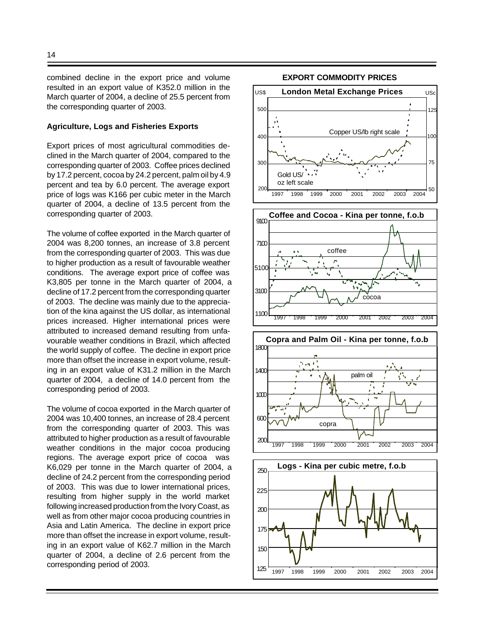combined decline in the export price and volume resulted in an export value of K352.0 million in the March quarter of 2004, a decline of 25.5 percent from the corresponding quarter of 2003.

#### **Agriculture, Logs and Fisheries Exports**

Export prices of most agricultural commodities declined in the March quarter of 2004, compared to the corresponding quarter of 2003. Coffee prices declined by 17.2 percent, cocoa by 24.2 percent, palm oil by 4.9 percent and tea by 6.0 percent. The average export price of logs was K166 per cubic meter in the March quarter of 2004, a decline of 13.5 percent from the corresponding quarter of 2003.

The volume of coffee exported in the March quarter of 2004 was 8,200 tonnes, an increase of 3.8 percent from the corresponding quarter of 2003. This was due to higher production as a result of favourable weather conditions. The average export price of coffee was K3,805 per tonne in the March quarter of 2004, a decline of 17.2 percent from the corresponding quarter of 2003. The decline was mainly due to the appreciation of the kina against the US dollar, as international prices increased. Higher international prices were attributed to increased demand resulting from unfavourable weather conditions in Brazil, which affected the world supply of coffee. The decline in export price more than offset the increase in export volume, resulting in an export value of K31.2 million in the March quarter of 2004, a decline of 14.0 percent from the corresponding period of 2003.

The volume of cocoa exported in the March quarter of 2004 was 10,400 tonnes, an increase of 28.4 percent from the corresponding quarter of 2003. This was attributed to higher production as a result of favourable weather conditions in the major cocoa producing regions. The average export price of cocoa was K6,029 per tonne in the March quarter of 2004, a decline of 24.2 percent from the corresponding period of 2003. This was due to lower international prices, resulting from higher supply in the world market following increased production from the Ivory Coast, as well as from other major cocoa producing countries in Asia and Latin America. The decline in export price more than offset the increase in export volume, resulting in an export value of K62.7 million in the March quarter of 2004, a decline of 2.6 percent from the corresponding period of 2003.



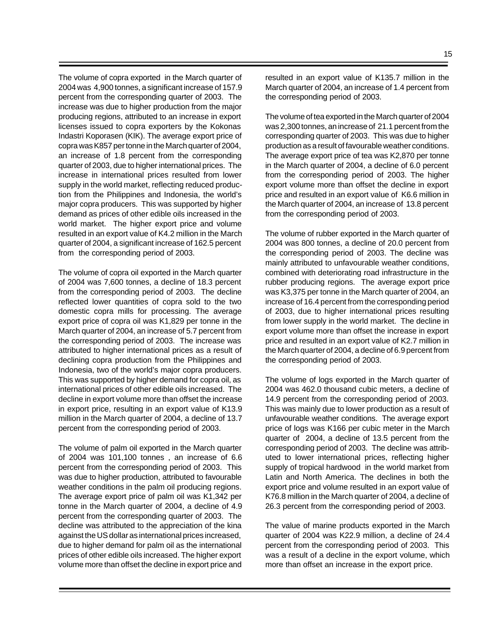The volume of copra exported in the March quarter of 2004 was 4,900 tonnes, a significant increase of 157.9 percent from the corresponding quarter of 2003. The increase was due to higher production from the major producing regions, attributed to an increase in export licenses issued to copra exporters by the Kokonas Indastri Koporasen (KIK). The average export price of copra was K857 per tonne in the March quarter of 2004, an increase of 1.8 percent from the corresponding quarter of 2003, due to higher international prices. The increase in international prices resulted from lower supply in the world market, reflecting reduced production from the Philippines and Indonesia, the world's major copra producers. This was supported by higher demand as prices of other edible oils increased in the world market. The higher export price and volume resulted in an export value of K4.2 million in the March quarter of 2004, a significant increase of 162.5 percent from the corresponding period of 2003.

The volume of copra oil exported in the March quarter of 2004 was 7,600 tonnes, a decline of 18.3 percent from the corresponding period of 2003. The decline reflected lower quantities of copra sold to the two domestic copra mills for processing. The average export price of copra oil was K1,829 per tonne in the March quarter of 2004, an increase of 5.7 percent from the corresponding period of 2003. The increase was attributed to higher international prices as a result of declining copra production from the Philippines and Indonesia, two of the world's major copra producers. This was supported by higher demand for copra oil, as international prices of other edible oils increased. The decline in export volume more than offset the increase in export price, resulting in an export value of K13.9 million in the March quarter of 2004, a decline of 13.7 percent from the corresponding period of 2003.

The volume of palm oil exported in the March quarter of 2004 was 101,100 tonnes , an increase of 6.6 percent from the corresponding period of 2003. This was due to higher production, attributed to favourable weather conditions in the palm oil producing regions. The average export price of palm oil was K1,342 per tonne in the March quarter of 2004, a decline of 4.9 percent from the corresponding quarter of 2003. The decline was attributed to the appreciation of the kina against the US dollar as international prices increased, due to higher demand for palm oil as the international prices of other edible oils increased. The higher export volume more than offset the decline in export price and

resulted in an export value of K135.7 million in the March quarter of 2004, an increase of 1.4 percent from the corresponding period of 2003.

The volume of tea exported in the March quarter of 2004 was 2,300 tonnes, an increase of 21.1 percent from the corresponding quarter of 2003. This was due to higher production as a result of favourable weather conditions. The average export price of tea was K2,870 per tonne in the March quarter of 2004, a decline of 6.0 percent from the corresponding period of 2003. The higher export volume more than offset the decline in export price and resulted in an export value of K6.6 million in the March quarter of 2004, an increase of 13.8 percent from the corresponding period of 2003.

The volume of rubber exported in the March quarter of 2004 was 800 tonnes, a decline of 20.0 percent from the corresponding period of 2003. The decline was mainly attributed to unfavourable weather conditions, combined with deteriorating road infrastructure in the rubber producing regions. The average export price was K3,375 per tonne in the March quarter of 2004, an increase of 16.4 percent from the corresponding period of 2003, due to higher international prices resulting from lower supply in the world market. The decline in export volume more than offset the increase in export price and resulted in an export value of K2.7 million in the March quarter of 2004, a decline of 6.9 percent from the corresponding period of 2003.

The volume of logs exported in the March quarter of 2004 was 462.0 thousand cubic meters, a decline of 14.9 percent from the corresponding period of 2003. This was mainly due to lower production as a result of unfavourable weather conditions. The average export price of logs was K166 per cubic meter in the March quarter of 2004, a decline of 13.5 percent from the corresponding period of 2003. The decline was attributed to lower international prices, reflecting higher supply of tropical hardwood in the world market from Latin and North America. The declines in both the export price and volume resulted in an export value of K76.8 million in the March quarter of 2004, a decline of 26.3 percent from the corresponding period of 2003.

The value of marine products exported in the March quarter of 2004 was K22.9 million, a decline of 24.4 percent from the corresponding period of 2003. This was a result of a decline in the export volume, which more than offset an increase in the export price.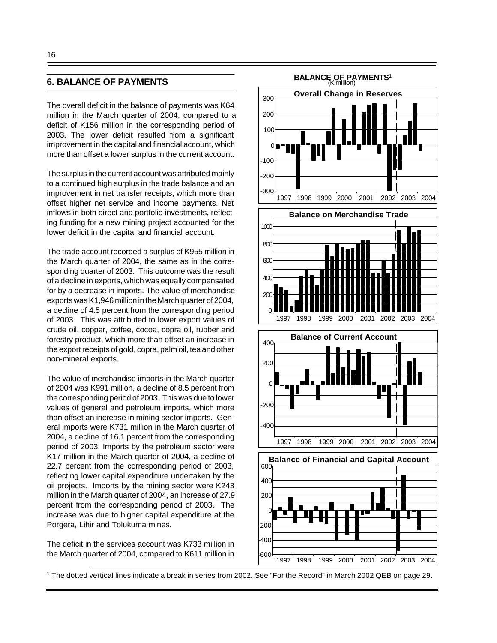## **6. BALANCE OF PAYMENTS**

The overall deficit in the balance of payments was K64 million in the March quarter of 2004, compared to a deficit of K156 million in the corresponding period of 2003. The lower deficit resulted from a significant improvement in the capital and financial account, which more than offset a lower surplus in the current account.

The surplus in the current account was attributed mainly to a continued high surplus in the trade balance and an improvement in net transfer receipts, which more than offset higher net service and income payments. Net inflows in both direct and portfolio investments, reflecting funding for a new mining project accounted for the lower deficit in the capital and financial account.

The trade account recorded a surplus of K955 million in the March quarter of 2004, the same as in the corresponding quarter of 2003. This outcome was the result of a decline in exports, which was equally compensated for by a decrease in imports. The value of merchandise exports was K1,946 million in the March quarter of 2004, a decline of 4.5 percent from the corresponding period of 2003. This was attributed to lower export values of crude oil, copper, coffee, cocoa, copra oil, rubber and forestry product, which more than offset an increase in the export receipts of gold, copra, palm oil, tea and other non-mineral exports.

The value of merchandise imports in the March quarter of 2004 was K991 million, a decline of 8.5 percent from the corresponding period of 2003. This was due to lower values of general and petroleum imports, which more than offset an increase in mining sector imports. General imports were K731 million in the March quarter of 2004, a decline of 16.1 percent from the corresponding period of 2003. Imports by the petroleum sector were K17 million in the March quarter of 2004, a decline of 22.7 percent from the corresponding period of 2003, reflecting lower capital expenditure undertaken by the oil projects. Imports by the mining sector were K243 million in the March quarter of 2004, an increase of 27.9 percent from the corresponding period of 2003. The increase was due to higher capital expenditure at the Porgera, Lihir and Tolukuma mines.

The deficit in the services account was K733 million in the March quarter of 2004, compared to K611 million in



<sup>1</sup> The dotted vertical lines indicate a break in series from 2002. See "For the Record" in March 2002 QEB on page 29.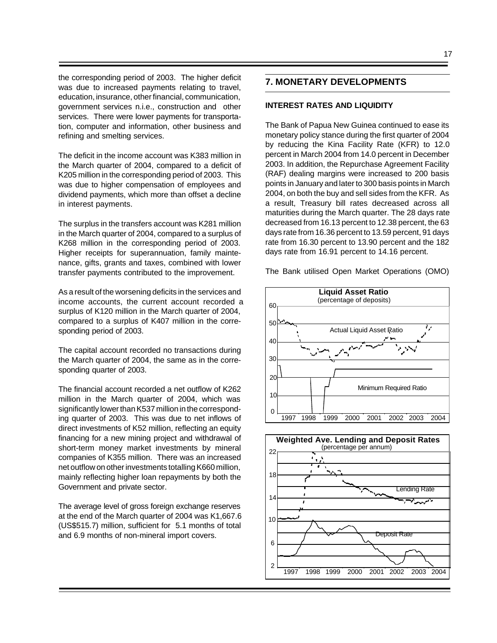the corresponding period of 2003. The higher deficit was due to increased payments relating to travel, education, insurance, other financial, communication, government services n.i.e., construction and other services. There were lower payments for transportation, computer and information, other business and refining and smelting services.

The deficit in the income account was K383 million in the March quarter of 2004, compared to a deficit of K205 million in the corresponding period of 2003. This was due to higher compensation of employees and dividend payments, which more than offset a decline in interest payments.

The surplus in the transfers account was K281 million in the March quarter of 2004, compared to a surplus of K268 million in the corresponding period of 2003. Higher receipts for superannuation, family maintenance, gifts, grants and taxes, combined with lower transfer payments contributed to the improvement.

As a result of the worsening deficits in the services and income accounts, the current account recorded a surplus of K120 million in the March quarter of 2004, compared to a surplus of K407 million in the corresponding period of 2003.

The capital account recorded no transactions during the March quarter of 2004, the same as in the corresponding quarter of 2003.

The financial account recorded a net outflow of K262 million in the March quarter of 2004, which was significantly lower than K537 million in the corresponding quarter of 2003. This was due to net inflows of direct investments of K52 million, reflecting an equity financing for a new mining project and withdrawal of short-term money market investments by mineral companies of K355 million. There was an increased net outflow on other investments totalling K660 million, mainly reflecting higher loan repayments by both the Government and private sector.

The average level of gross foreign exchange reserves at the end of the March quarter of 2004 was K1,667.6 (US\$515.7) million, sufficient for 5.1 months of total and 6.9 months of non-mineral import covers.

## **7. MONETARY DEVELOPMENTS**

#### **INTEREST RATES AND LIQUIDITY**

The Bank of Papua New Guinea continued to ease its monetary policy stance during the first quarter of 2004 by reducing the Kina Facility Rate (KFR) to 12.0 percent in March 2004 from 14.0 percent in December 2003. In addition, the Repurchase Agreement Facility (RAF) dealing margins were increased to 200 basis points in January and later to 300 basis points in March 2004, on both the buy and sell sides from the KFR. As a result, Treasury bill rates decreased across all maturities during the March quarter. The 28 days rate decreased from 16.13 percent to 12.38 percent, the 63 days rate from 16.36 percent to 13.59 percent, 91 days rate from 16.30 percent to 13.90 percent and the 182 days rate from 16.91 percent to 14.16 percent.

The Bank utilised Open Market Operations (OMO)



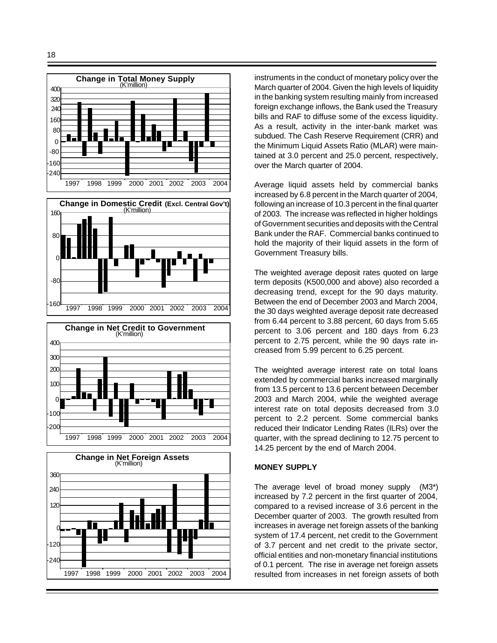







instruments in the conduct of monetary policy over the March quarter of 2004. Given the high levels of liquidity in the banking system resulting mainly from increased foreign exchange inflows, the Bank used the Treasury bills and RAF to diffuse some of the excess liquidity. As a result, activity in the inter-bank market was subdued. The Cash Reserve Requirement (CRR) and the Minimum Liquid Assets Ratio (MLAR) were maintained at 3.0 percent and 25.0 percent, respectively, over the March quarter of 2004.

Average liquid assets held by commercial banks increased by 6.8 percent in the March quarter of 2004, following an increase of 10.3 percent in the final quarter of 2003. The increase was reflected in higher holdings of Government securities and deposits with the Central Bank under the RAF. Commercial banks continued to hold the majority of their liquid assets in the form of Government Treasury bills.

The weighted average deposit rates quoted on large term deposits (K500,000 and above) also recorded a decreasing trend, except for the 90 days maturity. Between the end of December 2003 and March 2004, the 30 days weighted average deposit rate decreased from 6.44 percent to 3.88 percent, 60 days from 5.65 percent to 3.06 percent and 180 days from 6.23 percent to 2.75 percent, while the 90 days rate increased from 5.99 percent to 6.25 percent.

The weighted average interest rate on total loans extended by commercial banks increased marginally from 13.5 percent to 13.6 percent between December 2003 and March 2004, while the weighted average interest rate on total deposits decreased from 3.0 percent to 2.2 percent. Some commercial banks reduced their Indicator Lending Rates (ILRs) over the quarter, with the spread declining to 12.75 percent to 14.25 percent by the end of March 2004.

#### **MONEY SUPPLY**

The average level of broad money supply (M3\*) increased by 7.2 percent in the first quarter of 2004, compared to a revised increase of 3.6 percent in the December quarter of 2003. The growth resulted from increases in average net foreign assets of the banking system of 17.4 percent, net credit to the Government of 3.7 percent and net credit to the private sector, official entities and non-monetary financial institutions of 0.1 percent. The rise in average net foreign assets resulted from increases in net foreign assets of both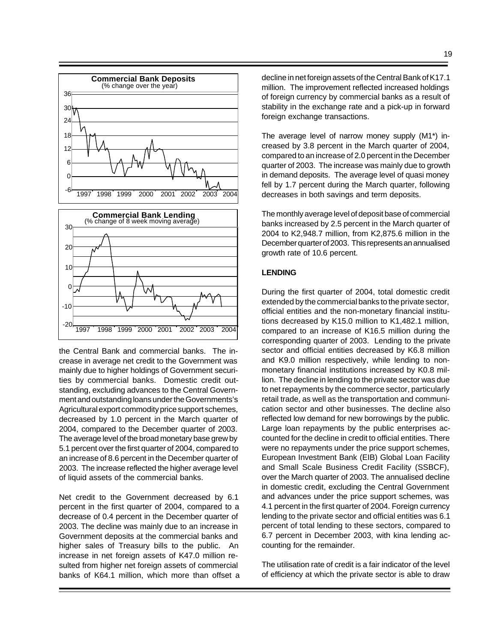

the Central Bank and commercial banks. The increase in average net credit to the Government was mainly due to higher holdings of Government securities by commercial banks. Domestic credit outstanding, excluding advances to the Central Government and outstanding loans under the Governments's Agricultural export commodity price support schemes, decreased by 1.0 percent in the March quarter of 2004, compared to the December quarter of 2003. The average level of the broad monetary base grew by 5.1 percent over the first quarter of 2004, compared to an increase of 8.6 percent in the December quarter of 2003. The increase reflected the higher average level of liquid assets of the commercial banks.

Net credit to the Government decreased by 6.1 percent in the first quarter of 2004, compared to a decrease of 0.4 percent in the December quarter of 2003. The decline was mainly due to an increase in Government deposits at the commercial banks and higher sales of Treasury bills to the public. An increase in net foreign assets of K47.0 million resulted from higher net foreign assets of commercial banks of K64.1 million, which more than offset a decline in net foreign assets of the Central Bank of K17.1 million. The improvement reflected increased holdings of foreign currency by commercial banks as a result of stability in the exchange rate and a pick-up in forward foreign exchange transactions.

The average level of narrow money supply (M1\*) increased by 3.8 percent in the March quarter of 2004, compared to an increase of 2.0 percent in the December quarter of 2003. The increase was mainly due to growth in demand deposits. The average level of quasi money fell by 1.7 percent during the March quarter, following decreases in both savings and term deposits.

The monthly average level of deposit base of commercial banks increased by 2.5 percent in the March quarter of 2004 to K2,948.7 million, from K2,875.6 million in the December quarter of 2003. This represents an annualised growth rate of 10.6 percent.

#### **LENDING**

During the first quarter of 2004, total domestic credit extended by the commercial banks to the private sector, official entities and the non-monetary financial institutions decreased by K15.0 million to K1,482.1 million, compared to an increase of K16.5 million during the corresponding quarter of 2003. Lending to the private sector and official entities decreased by K6.8 million and K9.0 million respectively, while lending to nonmonetary financial institutions increased by K0.8 million. The decline in lending to the private sector was due to net repayments by the commerce sector, particularly retail trade, as well as the transportation and communication sector and other businesses. The decline also reflected low demand for new borrowings by the public. Large loan repayments by the public enterprises accounted for the decline in credit to official entities. There were no repayments under the price support schemes, European Investment Bank (EIB) Global Loan Facility and Small Scale Business Credit Facility (SSBCF), over the March quarter of 2003. The annualised decline in domestic credit, excluding the Central Government and advances under the price support schemes, was 4.1 percent in the first quarter of 2004. Foreign currency lending to the private sector and official entities was 6.1 percent of total lending to these sectors, compared to 6.7 percent in December 2003, with kina lending accounting for the remainder.

The utilisation rate of credit is a fair indicator of the level of efficiency at which the private sector is able to draw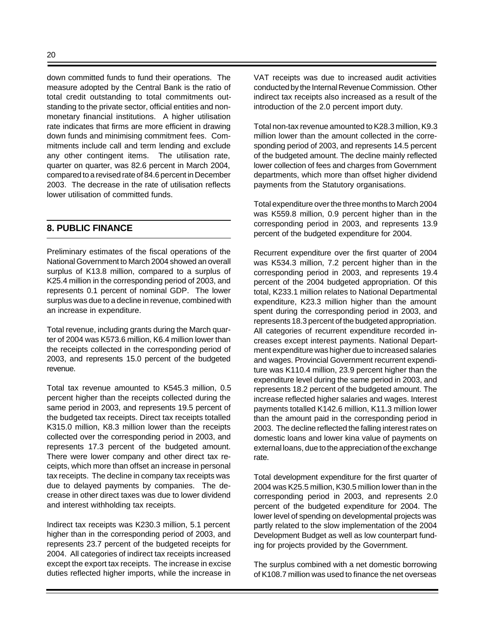down committed funds to fund their operations. The measure adopted by the Central Bank is the ratio of total credit outstanding to total commitments outstanding to the private sector, official entities and nonmonetary financial institutions. A higher utilisation rate indicates that firms are more efficient in drawing down funds and minimising commitment fees. Commitments include call and term lending and exclude any other contingent items. The utilisation rate, quarter on quarter, was 82.6 percent in March 2004, compared to a revised rate of 84.6 percent in December 2003. The decrease in the rate of utilisation reflects lower utilisation of committed funds.

# **8. PUBLIC FINANCE**

Preliminary estimates of the fiscal operations of the National Government to March 2004 showed an overall surplus of K13.8 million, compared to a surplus of K25.4 million in the corresponding period of 2003, and represents 0.1 percent of nominal GDP. The lower surplus was due to a decline in revenue, combined with an increase in expenditure.

Total revenue, including grants during the March quarter of 2004 was K573.6 million, K6.4 million lower than the receipts collected in the corresponding period of 2003, and represents 15.0 percent of the budgeted revenue.

Total tax revenue amounted to K545.3 million, 0.5 percent higher than the receipts collected during the same period in 2003, and represents 19.5 percent of the budgeted tax receipts. Direct tax receipts totalled K315.0 million, K8.3 million lower than the receipts collected over the corresponding period in 2003, and represents 17.3 percent of the budgeted amount. There were lower company and other direct tax receipts, which more than offset an increase in personal tax receipts. The decline in company tax receipts was due to delayed payments by companies. The decrease in other direct taxes was due to lower dividend and interest withholding tax receipts.

Indirect tax receipts was K230.3 million, 5.1 percent higher than in the corresponding period of 2003, and represents 23.7 percent of the budgeted receipts for 2004. All categories of indirect tax receipts increased except the export tax receipts. The increase in excise duties reflected higher imports, while the increase in VAT receipts was due to increased audit activities conducted by the Internal Revenue Commission. Other indirect tax receipts also increased as a result of the introduction of the 2.0 percent import duty.

Total non-tax revenue amounted to K28.3 million, K9.3 million lower than the amount collected in the corresponding period of 2003, and represents 14.5 percent of the budgeted amount. The decline mainly reflected lower collection of fees and charges from Government departments, which more than offset higher dividend payments from the Statutory organisations.

Total expenditure over the three months to March 2004 was K559.8 million, 0.9 percent higher than in the corresponding period in 2003, and represents 13.9 percent of the budgeted expenditure for 2004.

Recurrent expenditure over the first quarter of 2004 was K534.3 million, 7.2 percent higher than in the corresponding period in 2003, and represents 19.4 percent of the 2004 budgeted appropriation. Of this total, K233.1 million relates to National Departmental expenditure, K23.3 million higher than the amount spent during the corresponding period in 2003, and represents 18.3 percent of the budgeted appropriation. All categories of recurrent expenditure recorded increases except interest payments. National Department expenditure was higher due to increased salaries and wages. Provincial Government recurrent expenditure was K110.4 million, 23.9 percent higher than the expenditure level during the same period in 2003, and represents 18.2 percent of the budgeted amount. The increase reflected higher salaries and wages. Interest payments totalled K142.6 million, K11.3 million lower than the amount paid in the corresponding period in 2003. The decline reflected the falling interest rates on domestic loans and lower kina value of payments on external loans, due to the appreciation of the exchange rate.

Total development expenditure for the first quarter of 2004 was K25.5 million, K30.5 million lower than in the corresponding period in 2003, and represents 2.0 percent of the budgeted expenditure for 2004. The lower level of spending on developmental projects was partly related to the slow implementation of the 2004 Development Budget as well as low counterpart funding for projects provided by the Government.

The surplus combined with a net domestic borrowing of K108.7 million was used to finance the net overseas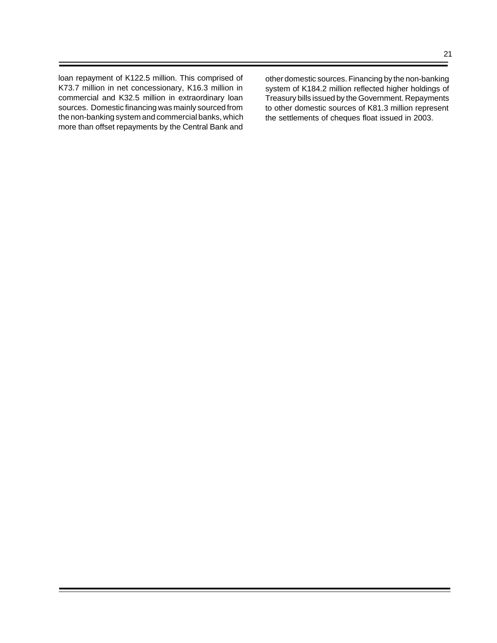loan repayment of K122.5 million. This comprised of K73.7 million in net concessionary, K16.3 million in commercial and K32.5 million in extraordinary loan sources. Domestic financing was mainly sourced from the non-banking system and commercial banks, which more than offset repayments by the Central Bank and

other domestic sources. Financing by the non-banking system of K184.2 million reflected higher holdings of Treasury bills issued by the Government. Repayments to other domestic sources of K81.3 million represent the settlements of cheques float issued in 2003.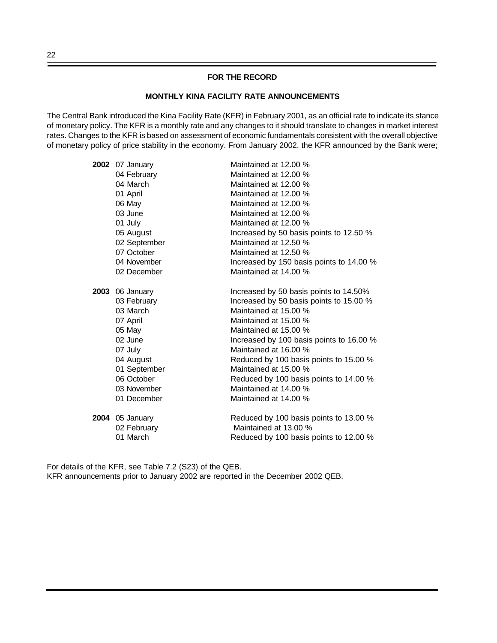#### **FOR THE RECORD**

#### **MONTHLY KINA FACILITY RATE ANNOUNCEMENTS**

The Central Bank introduced the Kina Facility Rate (KFR) in February 2001, as an official rate to indicate its stance of monetary policy. The KFR is a monthly rate and any changes to it should translate to changes in market interest rates. Changes to the KFR is based on assessment of economic fundamentals consistent with the overall objective of monetary policy of price stability in the economy. From January 2002, the KFR announced by the Bank were;

| 2002 07 January        | Maintained at 12.00 %                    |
|------------------------|------------------------------------------|
| 04 February            | Maintained at 12.00 %                    |
| 04 March               | Maintained at 12.00 %                    |
| 01 April               | Maintained at 12.00 %                    |
| 06 May                 | Maintained at 12.00 %                    |
| 03 June                | Maintained at 12.00 %                    |
| 01 July                | Maintained at 12.00 %                    |
| 05 August              | Increased by 50 basis points to 12.50 %  |
| 02 September           | Maintained at 12.50 %                    |
| 07 October             | Maintained at 12.50 %                    |
| 04 November            | Increased by 150 basis points to 14.00 % |
| 02 December            | Maintained at 14.00 %                    |
| <b>2003</b> 06 January | Increased by 50 basis points to 14.50%   |
| 03 February            | Increased by 50 basis points to 15.00 %  |
| 03 March               | Maintained at 15.00 %                    |
| 07 April               | Maintained at 15.00 %                    |
| 05 May                 | Maintained at 15.00 %                    |
| 02 June                | Increased by 100 basis points to 16.00 % |
| 07 July                | Maintained at 16.00 %                    |
| 04 August              | Reduced by 100 basis points to 15.00 %   |
| 01 September           | Maintained at 15.00 %                    |
| 06 October             | Reduced by 100 basis points to 14.00 %   |
| 03 November            | Maintained at 14.00 %                    |
| 01 December            | Maintained at 14.00 %                    |
| <b>2004</b> 05 January | Reduced by 100 basis points to 13.00 %   |
| 02 February            | Maintained at 13.00 %                    |
| 01 March               | Reduced by 100 basis points to 12.00 %   |

For details of the KFR, see Table 7.2 (S23) of the QEB. KFR announcements prior to January 2002 are reported in the December 2002 QEB.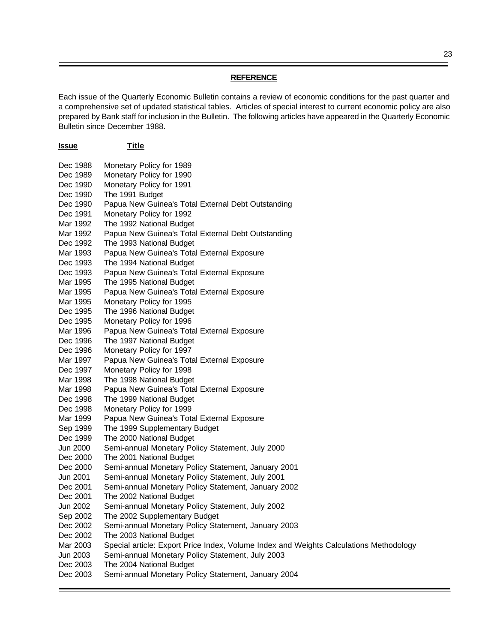## **REFERENCE**

Each issue of the Quarterly Economic Bulletin contains a review of economic conditions for the past quarter and a comprehensive set of updated statistical tables. Articles of special interest to current economic policy are also prepared by Bank staff for inclusion in the Bulletin. The following articles have appeared in the Quarterly Economic Bulletin since December 1988.

| <u>Issue</u> | <u>Title</u>                                                                           |
|--------------|----------------------------------------------------------------------------------------|
| Dec 1988     | Monetary Policy for 1989                                                               |
| Dec 1989     | Monetary Policy for 1990                                                               |
| Dec 1990     | Monetary Policy for 1991                                                               |
| Dec 1990     | The 1991 Budget                                                                        |
| Dec 1990     | Papua New Guinea's Total External Debt Outstanding                                     |
| Dec 1991     | Monetary Policy for 1992                                                               |
| Mar 1992     | The 1992 National Budget                                                               |
| Mar 1992     | Papua New Guinea's Total External Debt Outstanding                                     |
| Dec 1992     | The 1993 National Budget                                                               |
| Mar 1993     | Papua New Guinea's Total External Exposure                                             |
| Dec 1993     | The 1994 National Budget                                                               |
| Dec 1993     | Papua New Guinea's Total External Exposure                                             |
| Mar 1995     | The 1995 National Budget                                                               |
| Mar 1995     | Papua New Guinea's Total External Exposure                                             |
| Mar 1995     | Monetary Policy for 1995                                                               |
| Dec 1995     | The 1996 National Budget                                                               |
| Dec 1995     | Monetary Policy for 1996                                                               |
| Mar 1996     | Papua New Guinea's Total External Exposure                                             |
| Dec 1996     | The 1997 National Budget                                                               |
| Dec 1996     | Monetary Policy for 1997                                                               |
| Mar 1997     | Papua New Guinea's Total External Exposure                                             |
| Dec 1997     | Monetary Policy for 1998                                                               |
| Mar 1998     | The 1998 National Budget                                                               |
| Mar 1998     | Papua New Guinea's Total External Exposure                                             |
| Dec 1998     | The 1999 National Budget                                                               |
| Dec 1998     | Monetary Policy for 1999                                                               |
| Mar 1999     | Papua New Guinea's Total External Exposure                                             |
| Sep 1999     | The 1999 Supplementary Budget                                                          |
| Dec 1999     | The 2000 National Budget                                                               |
| Jun 2000     | Semi-annual Monetary Policy Statement, July 2000                                       |
| Dec 2000     | The 2001 National Budget                                                               |
| Dec 2000     | Semi-annual Monetary Policy Statement, January 2001                                    |
| Jun 2001     | Semi-annual Monetary Policy Statement, July 2001                                       |
| Dec 2001     | Semi-annual Monetary Policy Statement, January 2002                                    |
| Dec 2001     | The 2002 National Budget                                                               |
| Jun 2002     | Semi-annual Monetary Policy Statement, July 2002                                       |
| Sep 2002     | The 2002 Supplementary Budget                                                          |
| Dec 2002     | Semi-annual Monetary Policy Statement, January 2003                                    |
| Dec 2002     | The 2003 National Budget                                                               |
| Mar 2003     | Special article: Export Price Index, Volume Index and Weights Calculations Methodology |
| Jun 2003     | Semi-annual Monetary Policy Statement, July 2003                                       |
| Dec 2003     | The 2004 National Budget                                                               |
| Dec 2003     | Semi-annual Monetary Policy Statement, January 2004                                    |